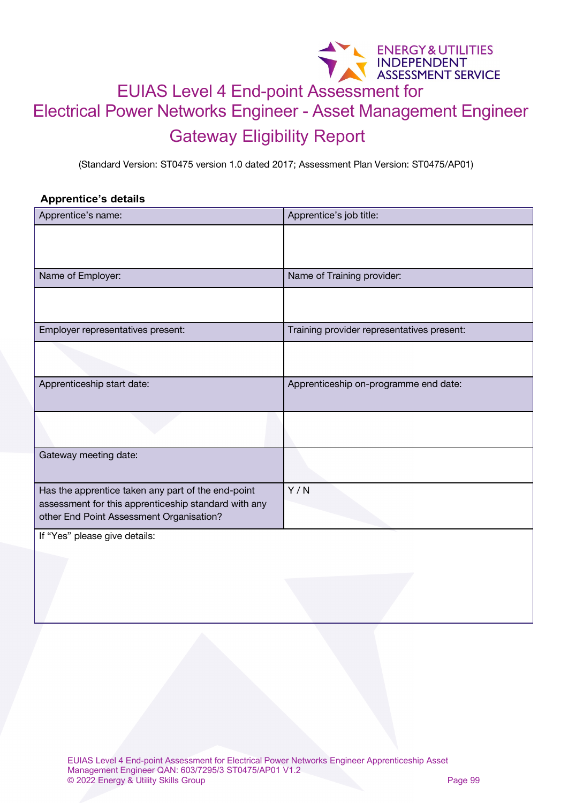## ENERGY&UTILITIES<br>EUIAS Level 4 End-point Assessment for Electrical Power Networks Engineer - Asset Management Engineer Gateway Eligibility Report

(Standard Version: ST0475 version 1.0 dated 2017; Assessment Plan Version: ST0475/AP01)

## **Apprentice's details**

| Apprentice's name:                                                                                                                                     | Apprentice's job title:                    |
|--------------------------------------------------------------------------------------------------------------------------------------------------------|--------------------------------------------|
|                                                                                                                                                        |                                            |
| Name of Employer:                                                                                                                                      | Name of Training provider:                 |
|                                                                                                                                                        |                                            |
|                                                                                                                                                        |                                            |
| Employer representatives present:                                                                                                                      | Training provider representatives present: |
|                                                                                                                                                        |                                            |
| Apprenticeship start date:                                                                                                                             | Apprenticeship on-programme end date:      |
|                                                                                                                                                        |                                            |
| Gateway meeting date:                                                                                                                                  |                                            |
| Has the apprentice taken any part of the end-point<br>assessment for this apprenticeship standard with any<br>other End Point Assessment Organisation? | Y/N                                        |
| If "Yes" please give details:                                                                                                                          |                                            |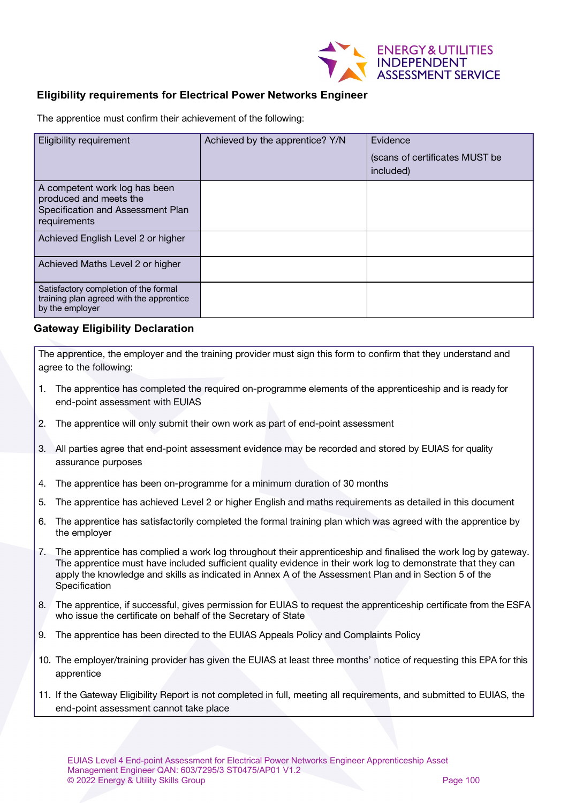

## **Eligibility requirements for Electrical Power Networks Engineer**

The apprentice must confirm their achievement of the following:

| <b>Eligibility requirement</b>                                                                               | Achieved by the apprentice? Y/N | Evidence<br>(scans of certificates MUST be<br>included) |
|--------------------------------------------------------------------------------------------------------------|---------------------------------|---------------------------------------------------------|
| A competent work log has been<br>produced and meets the<br>Specification and Assessment Plan<br>requirements |                                 |                                                         |
| Achieved English Level 2 or higher                                                                           |                                 |                                                         |
| Achieved Maths Level 2 or higher                                                                             |                                 |                                                         |
| Satisfactory completion of the formal<br>training plan agreed with the apprentice<br>by the employer         |                                 |                                                         |

## **Gateway Eligibility Declaration**

The apprentice, the employer and the training provider must sign this form to confirm that they understand and agree to the following:

- 1. The apprentice has completed the required on-programme elements of the apprenticeship and is ready for end-point assessment with EUIAS
- 2. The apprentice will only submit their own work as part of end-point assessment
- 3. All parties agree that end-point assessment evidence may be recorded and stored by EUIAS for quality assurance purposes
- 4. The apprentice has been on-programme for a minimum duration of 30 months
- 5. The apprentice has achieved Level 2 or higher English and maths requirements as detailed in this document
- 6. The apprentice has satisfactorily completed the formal training plan which was agreed with the apprentice by the employer
- 7. The apprentice has complied a work log throughout their apprenticeship and finalised the work log by gateway. The apprentice must have included sufficient quality evidence in their work log to demonstrate that they can apply the knowledge and skills as indicated in Annex A of the Assessment Plan and in Section 5 of the Specification
- 8. The apprentice, if successful, gives permission for EUIAS to request the apprenticeship certificate from the ESFA who issue the certificate on behalf of the Secretary of State
- 9. The apprentice has been directed to the EUIAS Appeals Policy and Complaints Policy
- 10. The employer/training provider has given the EUIAS at least three months' notice of requesting this EPA for this apprentice
- 11. If the Gateway Eligibility Report is not completed in full, meeting all requirements, and submitted to EUIAS, the end-point assessment cannot take place